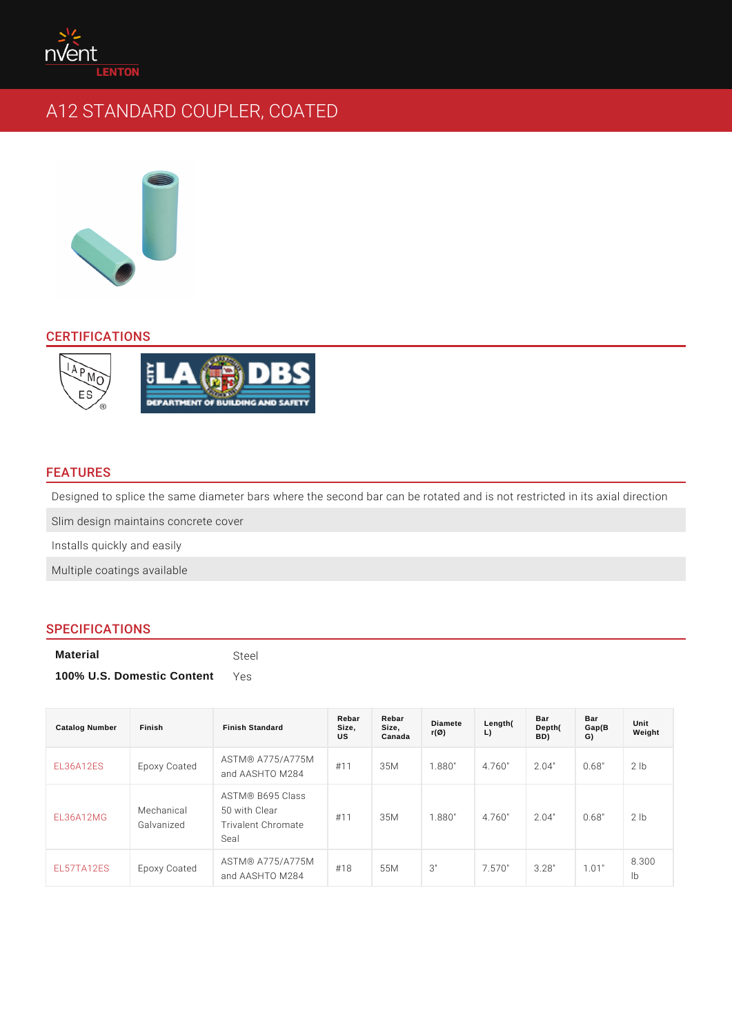# A12 STANDARD COUPLER, COATED

# CERTIFICATIONS

#### FEATURES

Designed to splice the same diameter bars where the second bar can be rotated Slim design maintains concrete cover Installs quickly and easily Multiple coatings available

### SPECIFICATIONS

| Material                   | Steel |
|----------------------------|-------|
| 100% U.S. Domestic Content | Yes   |

| Catalog Number | Finish | Finish Standard                                                                                    | Rebar<br>Size,<br><b>US</b> | Rebar<br>Size,<br>Canada | Diamete<br>$r(\varnothing)$ | Length(<br>L) | Bar<br>Depth(<br>BD)    | Bar<br>Gap(B<br>G) | Unit<br>Weight |
|----------------|--------|----------------------------------------------------------------------------------------------------|-----------------------------|--------------------------|-----------------------------|---------------|-------------------------|--------------------|----------------|
|                |        | EL36A12ES Epoxy Coated<br>and AASHTO M28411                                                        |                             | 3 5 M                    | 1.880"                      | 4.760 2.04"   |                         | 0.68"              | $2$ $1b$       |
| EL36A12MG      |        | ASTM® B695 Class<br>Mechanical 50 with Clear <sub>.</sub><br>Galvanized Trivalent Chromate<br>Seal |                             | 35M                      | 1.880"                      |               | 4.760 2.04              | 0.68"              | $2$ $1b$       |
|                |        | EL57TA12E SEpoxy Coated<br>and AASHTO M284                                                         |                             | 55M                      | 3"                          |               | $7.570$   3.28"   1.01" |                    | 8.300<br>l b   |